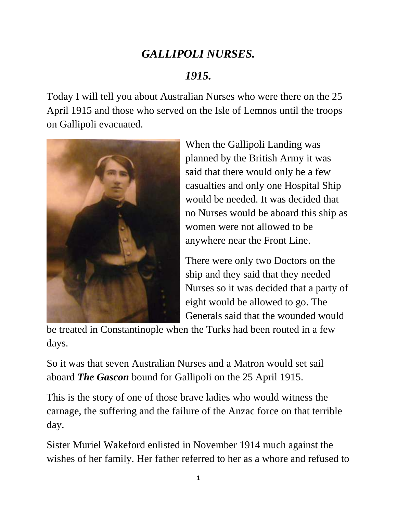## *GALLIPOLI NURSES.*

## *1915.*

Today I will tell you about Australian Nurses who were there on the 25 April 1915 and those who served on the Isle of Lemnos until the troops on Gallipoli evacuated.



When the Gallipoli Landing was planned by the British Army it was said that there would only be a few casualties and only one Hospital Ship would be needed. It was decided that no Nurses would be aboard this ship as women were not allowed to be anywhere near the Front Line.

There were only two Doctors on the ship and they said that they needed Nurses so it was decided that a party of eight would be allowed to go. The Generals said that the wounded would

be treated in Constantinople when the Turks had been routed in a few days.

So it was that seven Australian Nurses and a Matron would set sail aboard *The Gascon* bound for Gallipoli on the 25 April 1915.

This is the story of one of those brave ladies who would witness the carnage, the suffering and the failure of the Anzac force on that terrible day.

Sister Muriel Wakeford enlisted in November 1914 much against the wishes of her family. Her father referred to her as a whore and refused to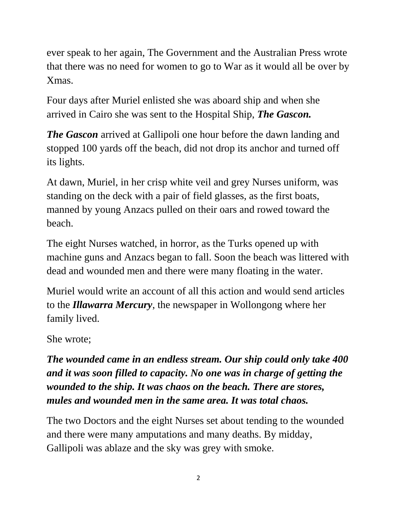ever speak to her again, The Government and the Australian Press wrote that there was no need for women to go to War as it would all be over by Xmas.

Four days after Muriel enlisted she was aboard ship and when she arrived in Cairo she was sent to the Hospital Ship, *The Gascon.*

*The Gascon* arrived at Gallipoli one hour before the dawn landing and stopped 100 yards off the beach, did not drop its anchor and turned off its lights.

At dawn, Muriel, in her crisp white veil and grey Nurses uniform, was standing on the deck with a pair of field glasses, as the first boats, manned by young Anzacs pulled on their oars and rowed toward the beach.

The eight Nurses watched, in horror, as the Turks opened up with machine guns and Anzacs began to fall. Soon the beach was littered with dead and wounded men and there were many floating in the water.

Muriel would write an account of all this action and would send articles to the *Illawarra Mercury*, the newspaper in Wollongong where her family lived.

She wrote;

*The wounded came in an endless stream. Our ship could only take 400 and it was soon filled to capacity. No one was in charge of getting the wounded to the ship. It was chaos on the beach. There are stores, mules and wounded men in the same area. It was total chaos.*

The two Doctors and the eight Nurses set about tending to the wounded and there were many amputations and many deaths. By midday, Gallipoli was ablaze and the sky was grey with smoke.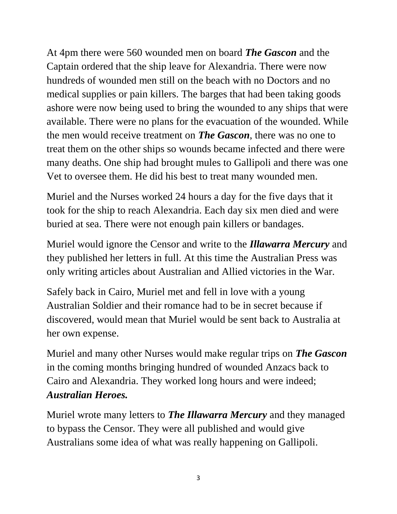At 4pm there were 560 wounded men on board *The Gascon* and the Captain ordered that the ship leave for Alexandria. There were now hundreds of wounded men still on the beach with no Doctors and no medical supplies or pain killers. The barges that had been taking goods ashore were now being used to bring the wounded to any ships that were available. There were no plans for the evacuation of the wounded. While the men would receive treatment on *The Gascon*, there was no one to treat them on the other ships so wounds became infected and there were many deaths. One ship had brought mules to Gallipoli and there was one Vet to oversee them. He did his best to treat many wounded men.

Muriel and the Nurses worked 24 hours a day for the five days that it took for the ship to reach Alexandria. Each day six men died and were buried at sea. There were not enough pain killers or bandages.

Muriel would ignore the Censor and write to the *Illawarra Mercury* and they published her letters in full. At this time the Australian Press was only writing articles about Australian and Allied victories in the War.

Safely back in Cairo, Muriel met and fell in love with a young Australian Soldier and their romance had to be in secret because if discovered, would mean that Muriel would be sent back to Australia at her own expense.

Muriel and many other Nurses would make regular trips on *The Gascon* in the coming months bringing hundred of wounded Anzacs back to Cairo and Alexandria. They worked long hours and were indeed; *Australian Heroes.*

Muriel wrote many letters to *The Illawarra Mercury* and they managed to bypass the Censor. They were all published and would give Australians some idea of what was really happening on Gallipoli.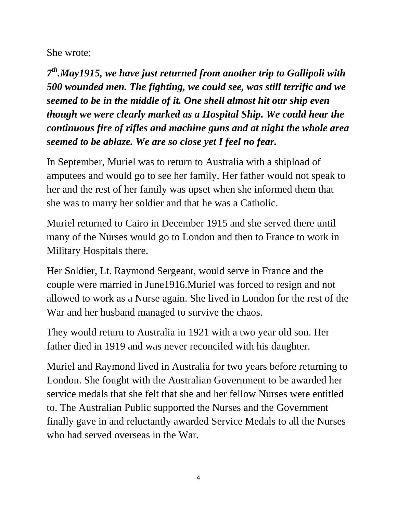She wrote;

*7 th.May1915, we have just returned from another trip to Gallipoli with 500 wounded men. The fighting, we could see, was still terrific and we seemed to be in the middle of it. One shell almost hit our ship even though we were clearly marked as a Hospital Ship. We could hear the continuous fire of rifles and machine guns and at night the whole area seemed to be ablaze. We are so close yet I feel no fear.* 

In September, Muriel was to return to Australia with a shipload of amputees and would go to see her family. Her father would not speak to her and the rest of her family was upset when she informed them that she was to marry her soldier and that he was a Catholic.

Muriel returned to Cairo in December 1915 and she served there until many of the Nurses would go to London and then to France to work in Military Hospitals there.

Her Soldier, Lt. Raymond Sergeant, would serve in France and the couple were married in June1916.Muriel was forced to resign and not allowed to work as a Nurse again. She lived in London for the rest of the War and her husband managed to survive the chaos.

They would return to Australia in 1921 with a two year old son. Her father died in 1919 and was never reconciled with his daughter.

Muriel and Raymond lived in Australia for two years before returning to London. She fought with the Australian Government to be awarded her service medals that she felt that she and her fellow Nurses were entitled to. The Australian Public supported the Nurses and the Government finally gave in and reluctantly awarded Service Medals to all the Nurses who had served overseas in the War.